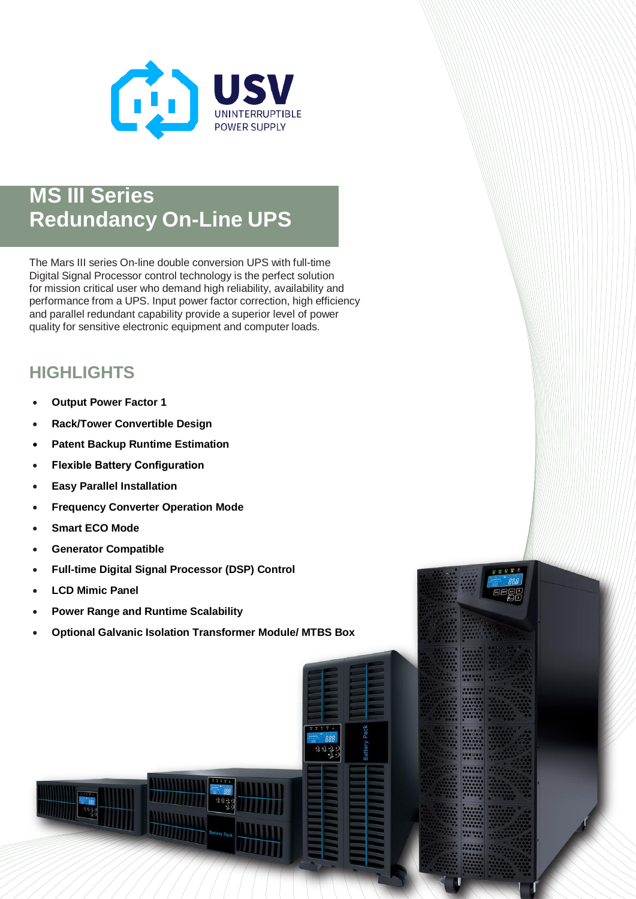

## **MS III Series Redundancy On-Line UPS**

The Mars III series On-line double conversion UPS with full-time Digital Signal Processor control technology is the perfect solution for mission critical user who demand high reliability, availability and performance from a UPS. Input power factor correction, high efficiency and parallel redundant capability provide a superior level of power quality for sensitive electronic equipment and computer loads.

## **HIGHLIGHTS**

- **Output Power Factor 1**
- **Rack/Tower Convertible Design**
- **Patent Backup Runtime Estimation**
- **Flexible Battery Configuration**
- **Easy Parallel Installation**
- **Frequency Converter Operation Mode**
- **Smart ECO Mode**
- **Generator Compatible**
- **Full-time Digital Signal Processor (DSP) Control**
- **LCD Mimic Panel**
- **Power Range and Runtime Scalability**
- **Optional Galvanic Isolation Transformer Module/ MTBS Box**